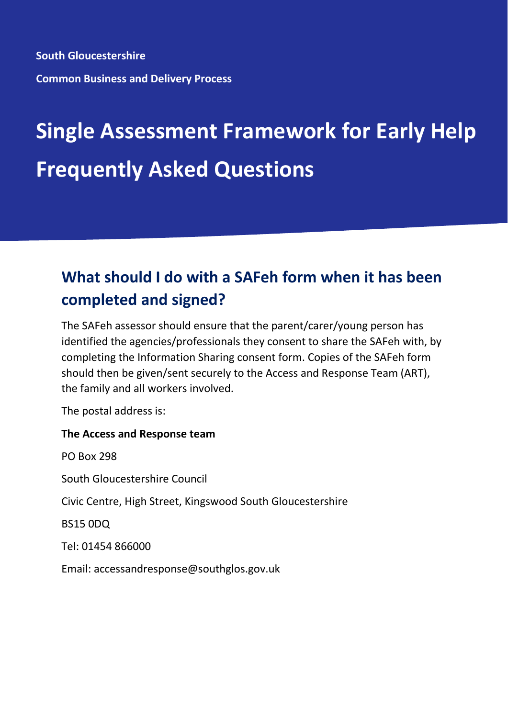**South Gloucestershire Common Business and Delivery Process**

# **Single Assessment Framework for Early Help Frequently Asked Questions**

# **What should I do with a SAFeh form when it has been completed and signed?**

The SAFeh assessor should ensure that the parent/carer/young person has identified the agencies/professionals they consent to share the SAFeh with, by completing the Information Sharing consent form. Copies of the SAFeh form should then be given/sent securely to the Access and Response Team (ART), the family and all workers involved.

The postal address is:

#### **The Access and Response team**

PO Box 298 South Gloucestershire Council Civic Centre, High Street, Kingswood South Gloucestershire BS15 0DQ Tel: 01454 866000 Email: accessandresponse@southglos.gov.uk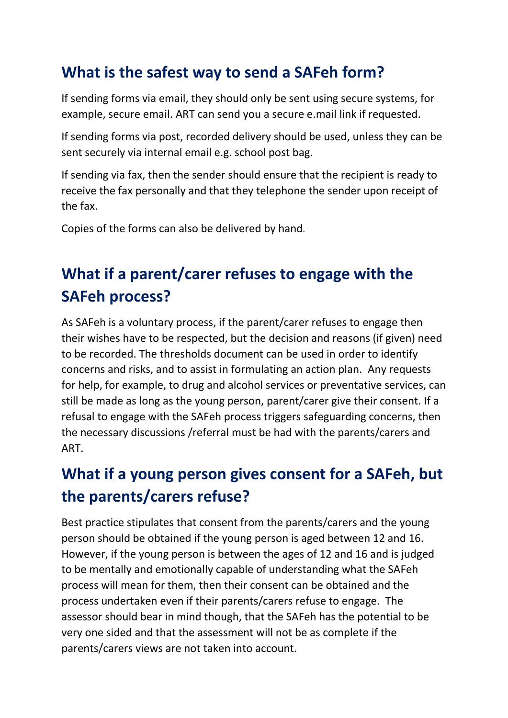### **What is the safest way to send a SAFeh form?**

If sending forms via email, they should only be sent using secure systems, for example, secure email. ART can send you a secure e.mail link if requested.

If sending forms via post, recorded delivery should be used, unless they can be sent securely via internal email e.g. school post bag.

If sending via fax, then the sender should ensure that the recipient is ready to receive the fax personally and that they telephone the sender upon receipt of the fax.

Copies of the forms can also be delivered by hand.

# **What if a parent/carer refuses to engage with the SAFeh process?**

As SAFeh is a voluntary process, if the parent/carer refuses to engage then their wishes have to be respected, but the decision and reasons (if given) need to be recorded. The thresholds document can be used in order to identify concerns and risks, and to assist in formulating an action plan. Any requests for help, for example, to drug and alcohol services or preventative services, can still be made as long as the young person, parent/carer give their consent. If a refusal to engage with the SAFeh process triggers safeguarding concerns, then the necessary discussions /referral must be had with the parents/carers and ART.

## **What if a young person gives consent for a SAFeh, but the parents/carers refuse?**

Best practice stipulates that consent from the parents/carers and the young person should be obtained if the young person is aged between 12 and 16. However, if the young person is between the ages of 12 and 16 and is judged to be mentally and emotionally capable of understanding what the SAFeh process will mean for them, then their consent can be obtained and the process undertaken even if their parents/carers refuse to engage. The assessor should bear in mind though, that the SAFeh has the potential to be very one sided and that the assessment will not be as complete if the parents/carers views are not taken into account.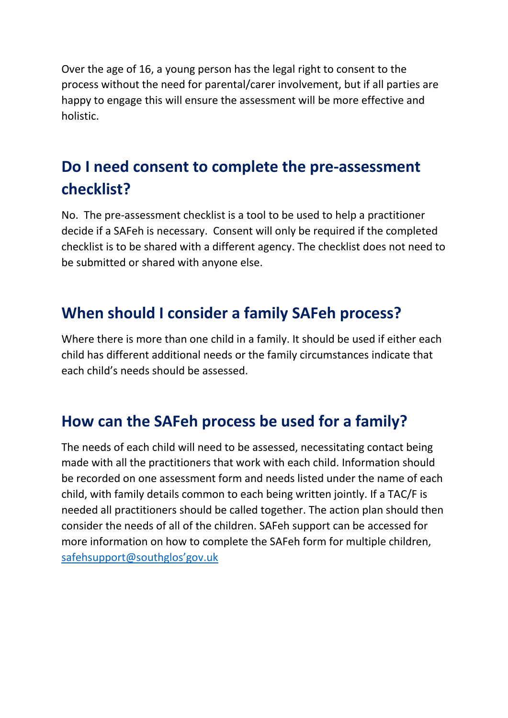Over the age of 16, a young person has the legal right to consent to the process without the need for parental/carer involvement, but if all parties are happy to engage this will ensure the assessment will be more effective and holistic.

### **Do I need consent to complete the pre-assessment checklist?**

No. The pre-assessment checklist is a tool to be used to help a practitioner decide if a SAFeh is necessary. Consent will only be required if the completed checklist is to be shared with a different agency. The checklist does not need to be submitted or shared with anyone else.

#### **When should I consider a family SAFeh process?**

Where there is more than one child in a family. It should be used if either each child has different additional needs or the family circumstances indicate that each child's needs should be assessed.

#### **How can the SAFeh process be used for a family?**

The needs of each child will need to be assessed, necessitating contact being made with all the practitioners that work with each child. Information should be recorded on one assessment form and needs listed under the name of each child, with family details common to each being written jointly. If a TAC/F is needed all practitioners should be called together. The action plan should then consider the needs of all of the children. SAFeh support can be accessed for more information on how to complete the SAFeh form for multiple children, [safehsupport@southglos'gov.uk](mailto:safehsupport@southglos)